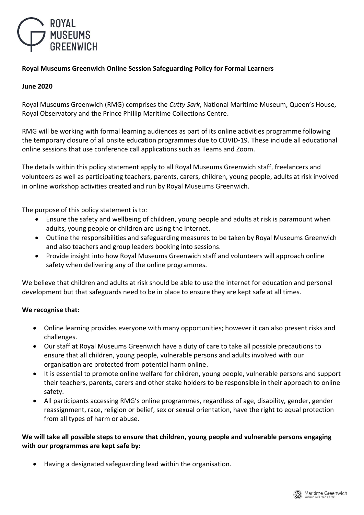

## **Royal Museums Greenwich Online Session Safeguarding Policy for Formal Learners**

### **June 2020**

Royal Museums Greenwich (RMG) comprises the *Cutty Sark*, National Maritime Museum, Queen's House, Royal Observatory and the Prince Phillip Maritime Collections Centre.

RMG will be working with formal learning audiences as part of its online activities programme following the temporary closure of all onsite education programmes due to COVID-19. These include all educational online sessions that use conference call applications such as Teams and Zoom.

The details within this policy statement apply to all Royal Museums Greenwich staff, freelancers and volunteers as well as participating teachers, parents, carers, children, young people, adults at risk involved in online workshop activities created and run by Royal Museums Greenwich.

The purpose of this policy statement is to:

- Ensure the safety and wellbeing of children, young people and adults at risk is paramount when adults, young people or children are using the internet.
- Outline the responsibilities and safeguarding measures to be taken by Royal Museums Greenwich and also teachers and group leaders booking into sessions.
- Provide insight into how Royal Museums Greenwich staff and volunteers will approach online safety when delivering any of the online programmes.

We believe that children and adults at risk should be able to use the internet for education and personal development but that safeguards need to be in place to ensure they are kept safe at all times.

## **We recognise that:**

- Online learning provides everyone with many opportunities; however it can also present risks and challenges.
- Our staff at Royal Museums Greenwich have a duty of care to take all possible precautions to ensure that all children, young people, vulnerable persons and adults involved with our organisation are protected from potential harm online.
- It is essential to promote online welfare for children, young people, vulnerable persons and support their teachers, parents, carers and other stake holders to be responsible in their approach to online safety.
- All participants accessing RMG's online programmes, regardless of age, disability, gender, gender reassignment, race, religion or belief, sex or sexual orientation, have the right to equal protection from all types of harm or abuse.

### **We will take all possible steps to ensure that children, young people and vulnerable persons engaging with our programmes are kept safe by:**

Having a designated safeguarding lead within the organisation.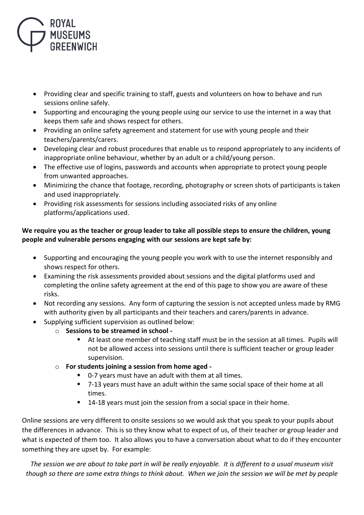

- Providing clear and specific training to staff, guests and volunteers on how to behave and run sessions online safely.
- Supporting and encouraging the young people using our service to use the internet in a way that keeps them safe and shows respect for others.
- Providing an online safety agreement and statement for use with young people and their teachers/parents/carers.
- Developing clear and robust procedures that enable us to respond appropriately to any incidents of inappropriate online behaviour, whether by an adult or a child/young person.
- The effective use of logins, passwords and accounts when appropriate to protect young people from unwanted approaches.
- Minimizing the chance that footage, recording, photography or screen shots of participants is taken and used inappropriately.
- Providing risk assessments for sessions including associated risks of any online platforms/applications used.

# **We require you as the teacher or group leader to take all possible steps to ensure the children, young people and vulnerable persons engaging with our sessions are kept safe by:**

- Supporting and encouraging the young people you work with to use the internet responsibly and shows respect for others.
- Examining the risk assessments provided about sessions and the digital platforms used and completing the online safety agreement at the end of this page to show you are aware of these risks.
- Not recording any sessions. Any form of capturing the session is not accepted unless made by RMG with authority given by all participants and their teachers and carers/parents in advance.
- Supplying sufficient supervision as outlined below:
	- o **Sessions to be streamed in school -**
		- At least one member of teaching staff must be in the session at all times. Pupils will not be allowed access into sessions until there is sufficient teacher or group leader supervision.
	- o **For students joining a session from home aged -**
		- 0-7 years must have an adult with them at all times.
		- 7-13 years must have an adult within the same social space of their home at all times.
		- **14-18 years must join the session from a social space in their home.**

Online sessions are very different to onsite sessions so we would ask that you speak to your pupils about the differences in advance. This is so they know what to expect of us, of their teacher or group leader and what is expected of them too. It also allows you to have a conversation about what to do if they encounter something they are upset by. For example:

*The session we are about to take part in will be really enjoyable. It is different to a usual museum visit though so there are some extra things to think about. When we join the session we will be met by people*